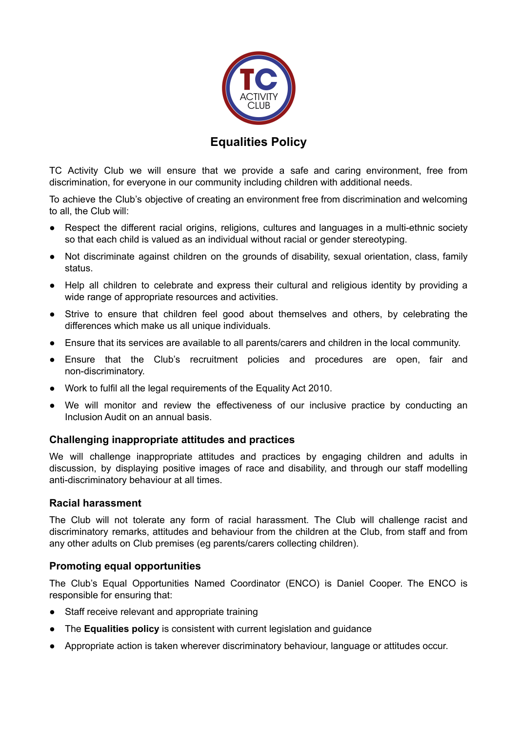

# **Equalities Policy**

TC Activity Club we will ensure that we provide a safe and caring environment, free from discrimination, for everyone in our community including children with additional needs.

To achieve the Club's objective of creating an environment free from discrimination and welcoming to all, the Club will:

- Respect the different racial origins, religions, cultures and languages in a multi-ethnic society so that each child is valued as an individual without racial or gender stereotyping.
- Not discriminate against children on the grounds of disability, sexual orientation, class, family status.
- Help all children to celebrate and express their cultural and religious identity by providing a wide range of appropriate resources and activities.
- Strive to ensure that children feel good about themselves and others, by celebrating the differences which make us all unique individuals.
- Ensure that its services are available to all parents/carers and children in the local community.
- Ensure that the Club's recruitment policies and procedures are open, fair and non-discriminatory.
- Work to fulfil all the legal requirements of the Equality Act 2010.
- We will monitor and review the effectiveness of our inclusive practice by conducting an Inclusion Audit on an annual basis.

### **Challenging inappropriate attitudes and practices**

We will challenge inappropriate attitudes and practices by engaging children and adults in discussion, by displaying positive images of race and disability, and through our staff modelling anti-discriminatory behaviour at all times.

#### **Racial harassment**

The Club will not tolerate any form of racial harassment. The Club will challenge racist and discriminatory remarks, attitudes and behaviour from the children at the Club, from staff and from any other adults on Club premises (eg parents/carers collecting children).

### **Promoting equal opportunities**

The Club's Equal Opportunities Named Coordinator (ENCO) is Daniel Cooper. The ENCO is responsible for ensuring that:

- Staff receive relevant and appropriate training
- The **Equalities policy** is consistent with current legislation and guidance
- Appropriate action is taken wherever discriminatory behaviour, language or attitudes occur.